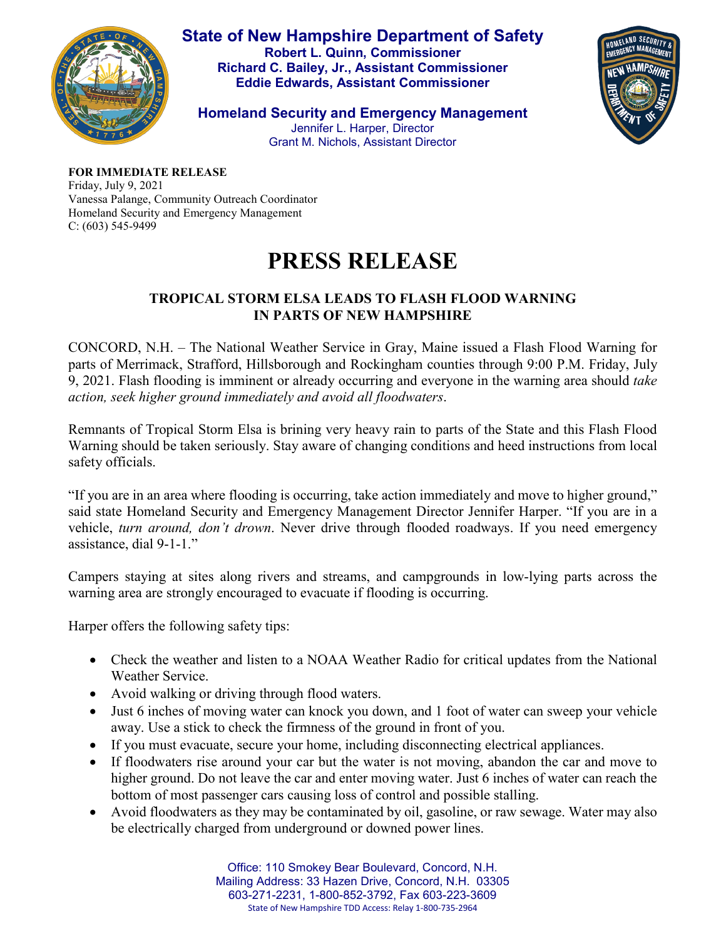

**State of New Hampshire Department of Safety Robert L. Quinn, Commissioner Richard C. Bailey, Jr., Assistant Commissioner Eddie Edwards, Assistant Commissioner**

HOMELAND SECURITY

**Homeland Security and Emergency Management** Jennifer L. Harper, Director Grant M. Nichols, Assistant Director

**FOR IMMEDIATE RELEASE** Friday, July 9, 2021 Vanessa Palange, Community Outreach Coordinator Homeland Security and Emergency Management C: (603) 545-9499

## **PRESS RELEASE**

## **TROPICAL STORM ELSA LEADS TO FLASH FLOOD WARNING IN PARTS OF NEW HAMPSHIRE**

CONCORD, N.H. – The National Weather Service in Gray, Maine issued a Flash Flood Warning for parts of Merrimack, Strafford, Hillsborough and Rockingham counties through 9:00 P.M. Friday, July 9, 2021. Flash flooding is imminent or already occurring and everyone in the warning area should *take action, seek higher ground immediately and avoid all floodwaters*.

Remnants of Tropical Storm Elsa is brining very heavy rain to parts of the State and this Flash Flood Warning should be taken seriously. Stay aware of changing conditions and heed instructions from local safety officials.

"If you are in an area where flooding is occurring, take action immediately and move to higher ground," said state Homeland Security and Emergency Management Director Jennifer Harper. "If you are in a vehicle, *turn around, don't drown*. Never drive through flooded roadways. If you need emergency assistance, dial 9-1-1."

Campers staying at sites along rivers and streams, and campgrounds in low-lying parts across the warning area are strongly encouraged to evacuate if flooding is occurring.

Harper offers the following safety tips:

- Check the weather and listen to a NOAA Weather Radio for critical updates from the National Weather Service.
- Avoid walking or driving through flood waters.
- Just 6 inches of moving water can knock you down, and 1 foot of water can sweep your vehicle away. Use a stick to check the firmness of the ground in front of you.
- If you must evacuate, secure your home, including disconnecting electrical appliances.
- If floodwaters rise around your car but the water is not moving, abandon the car and move to higher ground. Do not leave the car and enter moving water. Just 6 inches of water can reach the bottom of most passenger cars causing loss of control and possible stalling.
- Avoid floodwaters as they may be contaminated by oil, gasoline, or raw sewage. Water may also be electrically charged from underground or downed power lines.